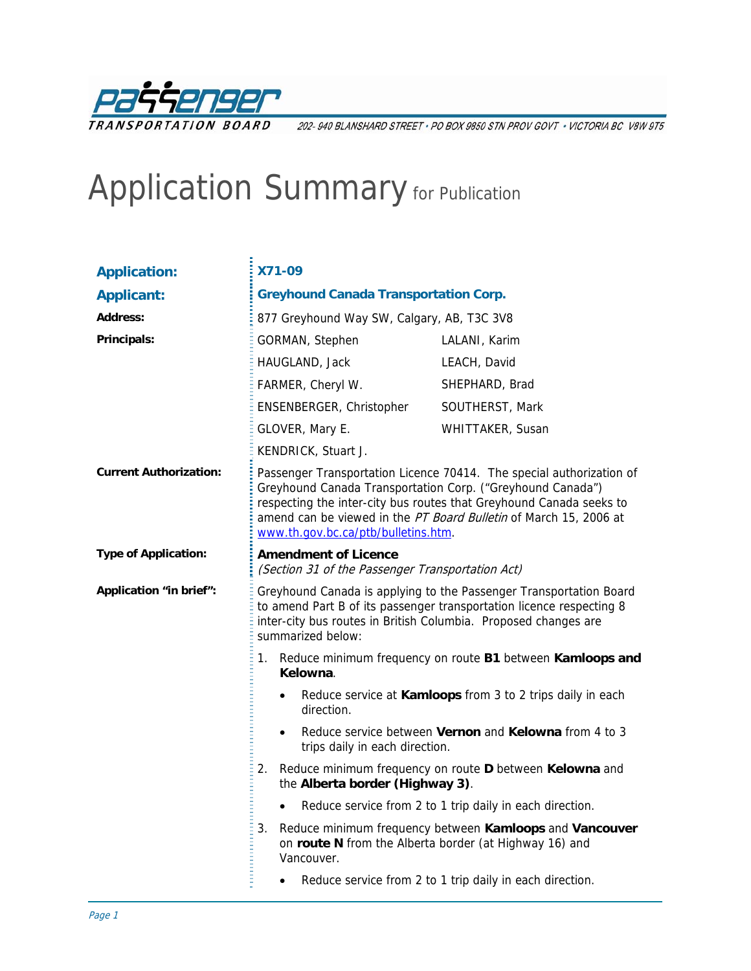

202- 940 BLANSHARD STREET · PO BOX 9850 STN PROV GOVT · VICTORIA BC V8W 9T5

# Application Summary for Publication

| <b>Application:</b>           | <b>X71-09</b>                                                                                                                                                                                                                      |                                                                                                                                                                                                                                                                                |  |  |
|-------------------------------|------------------------------------------------------------------------------------------------------------------------------------------------------------------------------------------------------------------------------------|--------------------------------------------------------------------------------------------------------------------------------------------------------------------------------------------------------------------------------------------------------------------------------|--|--|
| <b>Applicant:</b>             | <b>Greyhound Canada Transportation Corp.</b>                                                                                                                                                                                       |                                                                                                                                                                                                                                                                                |  |  |
| <b>Address:</b>               | 877 Greyhound Way SW, Calgary, AB, T3C 3V8                                                                                                                                                                                         |                                                                                                                                                                                                                                                                                |  |  |
| Principals:                   | GORMAN, Stephen                                                                                                                                                                                                                    | LALANI, Karim                                                                                                                                                                                                                                                                  |  |  |
|                               | HAUGLAND, Jack                                                                                                                                                                                                                     | LEACH, David                                                                                                                                                                                                                                                                   |  |  |
|                               | FARMER, Cheryl W.                                                                                                                                                                                                                  | SHEPHARD, Brad                                                                                                                                                                                                                                                                 |  |  |
|                               | ENSENBERGER, Christopher                                                                                                                                                                                                           | SOUTHERST, Mark                                                                                                                                                                                                                                                                |  |  |
|                               | GLOVER, Mary E.                                                                                                                                                                                                                    | WHITTAKER, Susan                                                                                                                                                                                                                                                               |  |  |
|                               | KENDRICK, Stuart J.                                                                                                                                                                                                                |                                                                                                                                                                                                                                                                                |  |  |
| <b>Current Authorization:</b> | www.th.gov.bc.ca/ptb/bulletins.htm.                                                                                                                                                                                                | Passenger Transportation Licence 70414. The special authorization of<br>Greyhound Canada Transportation Corp. ("Greyhound Canada")<br>respecting the inter-city bus routes that Greyhound Canada seeks to<br>amend can be viewed in the PT Board Bulletin of March 15, 2006 at |  |  |
| <b>Type of Application:</b>   | <b>Amendment of Licence</b><br>(Section 31 of the Passenger Transportation Act)                                                                                                                                                    |                                                                                                                                                                                                                                                                                |  |  |
| Application "in brief":       | Greyhound Canada is applying to the Passenger Transportation Board<br>to amend Part B of its passenger transportation licence respecting 8<br>inter-city bus routes in British Columbia. Proposed changes are<br>summarized below: |                                                                                                                                                                                                                                                                                |  |  |
|                               | 1. Reduce minimum frequency on route B1 between Kamloops and<br>Kelowna.                                                                                                                                                           |                                                                                                                                                                                                                                                                                |  |  |
|                               | Reduce service at Kamloops from 3 to 2 trips daily in each<br>$\bullet$<br>direction.                                                                                                                                              |                                                                                                                                                                                                                                                                                |  |  |
|                               | Reduce service between Vernon and Kelowna from 4 to 3<br>$\bullet$<br>trips daily in each direction.                                                                                                                               |                                                                                                                                                                                                                                                                                |  |  |
|                               | Reduce minimum frequency on route D between Kelowna and<br>2.<br>the Alberta border (Highway 3).                                                                                                                                   |                                                                                                                                                                                                                                                                                |  |  |
|                               | Reduce service from 2 to 1 trip daily in each direction.<br>$\bullet$                                                                                                                                                              |                                                                                                                                                                                                                                                                                |  |  |
|                               | Vancouver.                                                                                                                                                                                                                         | 3. Reduce minimum frequency between Kamloops and Vancouver<br>on route N from the Alberta border (at Highway 16) and                                                                                                                                                           |  |  |
|                               | Reduce service from 2 to 1 trip daily in each direction.<br>$\bullet$                                                                                                                                                              |                                                                                                                                                                                                                                                                                |  |  |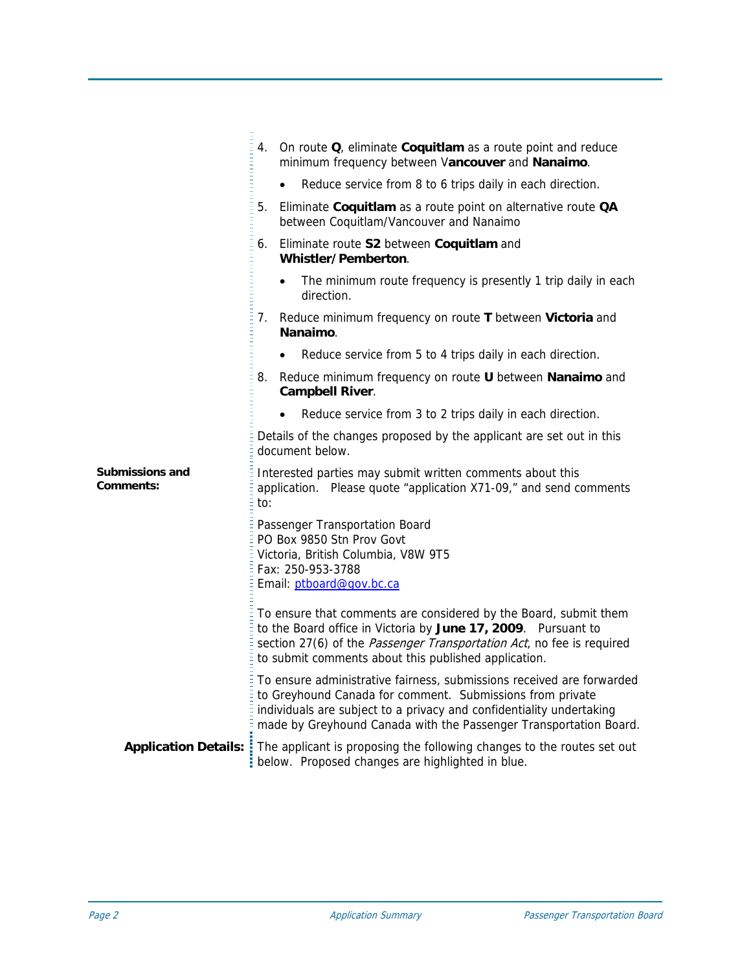|                                            | 4. On route Q, eliminate Coquitlam as a route point and reduce<br>minimum frequency between Vancouver and Nanaimo.                                                                                                                                                              |
|--------------------------------------------|---------------------------------------------------------------------------------------------------------------------------------------------------------------------------------------------------------------------------------------------------------------------------------|
|                                            | Reduce service from 8 to 6 trips daily in each direction.                                                                                                                                                                                                                       |
|                                            | 5.<br>Eliminate Coquitlam as a route point on alternative route QA<br>between Coquitlam/Vancouver and Nanaimo                                                                                                                                                                   |
|                                            | Eliminate route S2 between Coquitlam and<br>6.<br>Whistler/Pemberton.                                                                                                                                                                                                           |
|                                            | The minimum route frequency is presently 1 trip daily in each<br>$\bullet$<br>direction.                                                                                                                                                                                        |
|                                            | Reduce minimum frequency on route T between Victoria and<br>7.<br>Nanaimo.                                                                                                                                                                                                      |
|                                            | Reduce service from 5 to 4 trips daily in each direction.<br>$\bullet$                                                                                                                                                                                                          |
|                                            | 8.<br>Reduce minimum frequency on route U between Nanaimo and<br><b>Campbell River.</b>                                                                                                                                                                                         |
|                                            | Reduce service from 3 to 2 trips daily in each direction.<br>$\bullet$                                                                                                                                                                                                          |
|                                            | Details of the changes proposed by the applicant are set out in this<br>document below.                                                                                                                                                                                         |
| <b>Submissions and</b><br><b>Comments:</b> | Interested parties may submit written comments about this<br>application. Please quote "application X71-09," and send comments<br>to:                                                                                                                                           |
|                                            | Passenger Transportation Board<br>PO Box 9850 Stn Prov Govt<br>Victoria, British Columbia, V8W 9T5<br>Fax: 250-953-3788<br>Email: ptboard@gov.bc.ca                                                                                                                             |
|                                            | To ensure that comments are considered by the Board, submit them<br>to the Board office in Victoria by June 17, 2009. Pursuant to<br>section 27(6) of the Passenger Transportation Act, no fee is required<br>to submit comments about this published application.              |
|                                            | To ensure administrative fairness, submissions received are forwarded<br>to Greyhound Canada for comment. Submissions from private<br>individuals are subject to a privacy and confidentiality undertaking<br>made by Greyhound Canada with the Passenger Transportation Board. |
| <b>Application Details::</b>               | The applicant is proposing the following changes to the routes set out<br>below. Proposed changes are highlighted in blue.                                                                                                                                                      |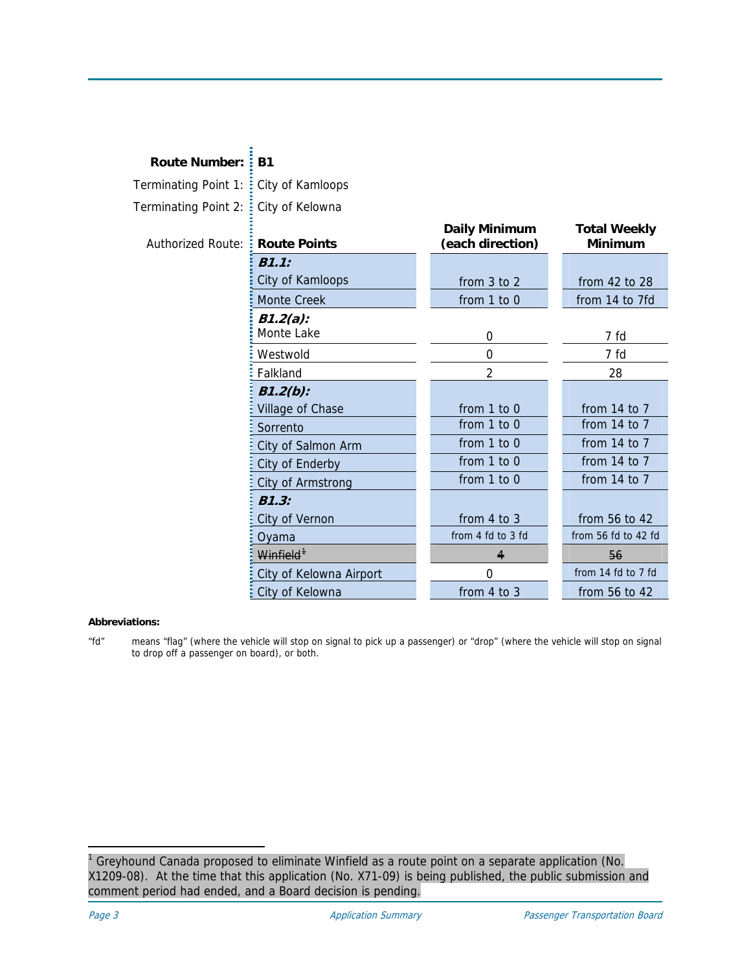| <b>Route Number: : B1</b>               |                         |                                          |                                       |
|-----------------------------------------|-------------------------|------------------------------------------|---------------------------------------|
| Terminating Point 1: : City of Kamloops |                         |                                          |                                       |
| Terminating Point 2:                    | City of Kelowna         |                                          |                                       |
| <b>Authorized Route:</b>                | <b>Route Points</b>     | <b>Daily Minimum</b><br>(each direction) | <b>Total Weekly</b><br><b>Minimum</b> |
|                                         | B1.1:                   |                                          |                                       |
|                                         | City of Kamloops        | from 3 to 2                              | from 42 to 28                         |
|                                         | <b>Monte Creek</b>      | from 1 to 0                              | from 14 to 7fd                        |
|                                         | $B1.2(a)$ :             |                                          |                                       |
|                                         | Monte Lake              | 0                                        | 7 fd                                  |
|                                         | Westwold                | 0                                        | 7 fd                                  |
|                                         | Falkland                | 2                                        | 28                                    |
|                                         | $B1.2(b)$ :             |                                          |                                       |
|                                         | Village of Chase        | from 1 to 0                              | from 14 to 7                          |
|                                         | Sorrento                | from 1 to 0                              | from 14 to 7                          |
|                                         | City of Salmon Arm      | from 1 to 0                              | from 14 to 7                          |
|                                         | City of Enderby         | from 1 to 0                              | from $14$ to $7$                      |
|                                         | City of Armstrong       | from 1 to 0                              | from 14 to 7                          |
|                                         | B1.3:                   |                                          |                                       |
|                                         | City of Vernon          | from 4 to 3                              | from 56 to 42                         |
|                                         | Oyama                   | from 4 fd to 3 fd                        | from 56 fd to 42 fd                   |
|                                         | Winfield <sup>+</sup>   | 4                                        | 56                                    |
|                                         | City of Kelowna Airport | $\mathbf 0$                              | from 14 fd to 7 fd                    |
|                                         | City of Kelowna         | from $4$ to $3$                          | from 56 to 42                         |

### **Abbreviations:**

"fd" means "flag" (where the vehicle will stop on signal to pick up a passenger) or "drop" (where the vehicle will stop on signal to drop off a passenger on board), or both.

-

<span id="page-2-0"></span><sup>1</sup> Greyhound Canada proposed to eliminate Winfield as a route point on a separate application (No. X1209-08). At the time that this application (No. X71-09) is being published, the public submission and comment period had ended, and a Board decision is pending.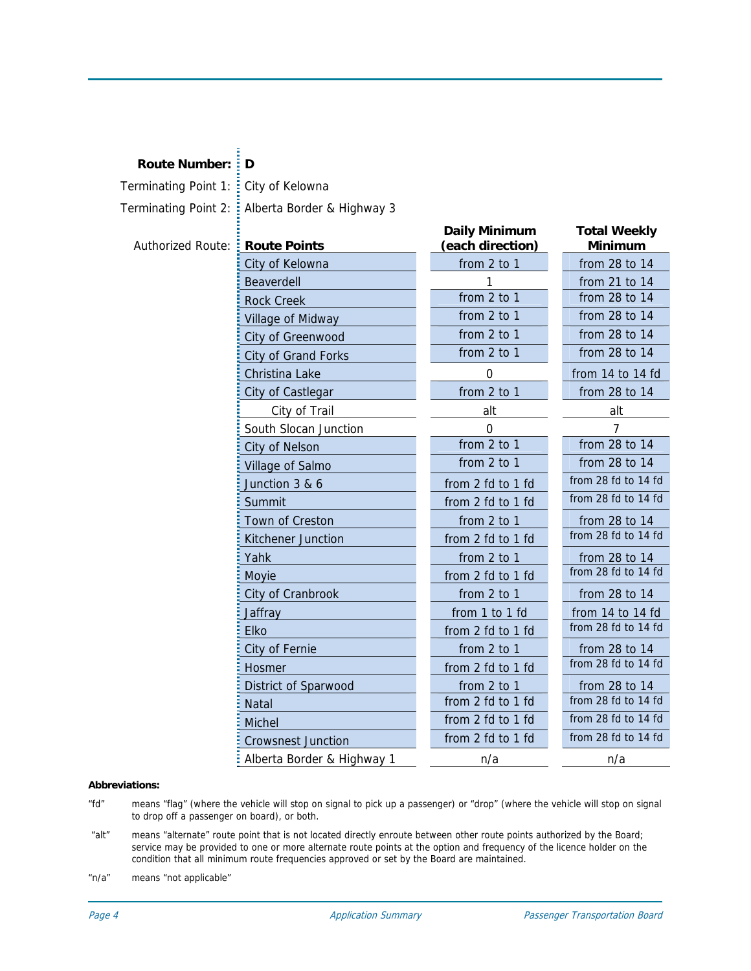## **Route Number: D**

Terminating Point 1: City of Kelowna

Terminating Point 2: Alberta Border & Highway 3

| <b>Authorized Route:</b> | <b>Route Points</b>        | <b>Daily Minimum</b><br>(each direction) | <b>Total Weekly</b><br>Minimum |
|--------------------------|----------------------------|------------------------------------------|--------------------------------|
|                          | City of Kelowna            | from 2 to 1                              | from 28 to 14                  |
|                          | Beaverdell                 |                                          | from 21 to 14                  |
|                          | <b>Rock Creek</b>          | from 2 to 1                              | from 28 to 14                  |
|                          | Village of Midway          | from 2 to 1                              | from 28 to 14                  |
|                          | City of Greenwood          | from 2 to 1                              | from 28 to 14                  |
|                          | <b>City of Grand Forks</b> | from 2 to 1                              | from 28 to 14                  |
|                          | Christina Lake             | $\mathbf 0$                              | from 14 to 14 fd               |
|                          | City of Castlegar          | from 2 to 1                              | from 28 to 14                  |
|                          | City of Trail              | alt                                      | alt                            |
|                          | South Slocan Junction      | 0                                        |                                |
|                          | City of Nelson             | from 2 to 1                              | from 28 to 14                  |
|                          | Village of Salmo           | from 2 to 1                              | from 28 to 14                  |
|                          | Junction 3 & 6             | from 2 fd to 1 fd                        | from 28 fd to 14 fd            |
|                          | Summit                     | from 2 fd to 1 fd                        | from 28 fd to 14 fd            |
|                          | Town of Creston            | from 2 to 1                              | from 28 to 14                  |
|                          | Kitchener Junction         | from 2 fd to 1 fd                        | from 28 fd to 14 fd            |
|                          | Yahk                       | from 2 to 1                              | from 28 to 14                  |
|                          | Moyie                      | from 2 fd to 1 fd                        | from 28 fd to 14 fd            |
|                          | City of Cranbrook          | from 2 to 1                              | from 28 to 14                  |
|                          | Jaffray                    | from 1 to 1 fd                           | from 14 to 14 fd               |
|                          | <b>Elko</b>                | from 2 fd to 1 fd                        | from 28 fd to 14 fd            |
|                          | City of Fernie             | from 2 to 1                              | from 28 to 14                  |
|                          | <b>Hosmer</b>              | from 2 fd to 1 fd                        | from 28 fd to 14 fd            |
|                          | District of Sparwood       | from 2 to 1                              | from 28 to 14                  |
|                          | <b>Natal</b>               | from 2 fd to 1 fd                        | from 28 fd to 14 fd            |
|                          | <b>Michel</b>              | from 2 fd to 1 fd                        | from 28 fd to 14 fd            |
|                          | <b>Crowsnest Junction</b>  | from 2 fd to 1 fd                        | from 28 fd to 14 fd            |
|                          | Alberta Border & Highway 1 | n/a                                      | n/a                            |

#### **Abbreviations:**

- "fd" means "flag" (where the vehicle will stop on signal to pick up a passenger) or "drop" (where the vehicle will stop on signal to drop off a passenger on board), or both.
- "alt" means "alternate" route point that is not located directly enroute between other route points authorized by the Board; service may be provided to one or more alternate route points at the option and frequency of the licence holder on the condition that all minimum route frequencies approved or set by the Board are maintained.

"n/a" means "not applicable"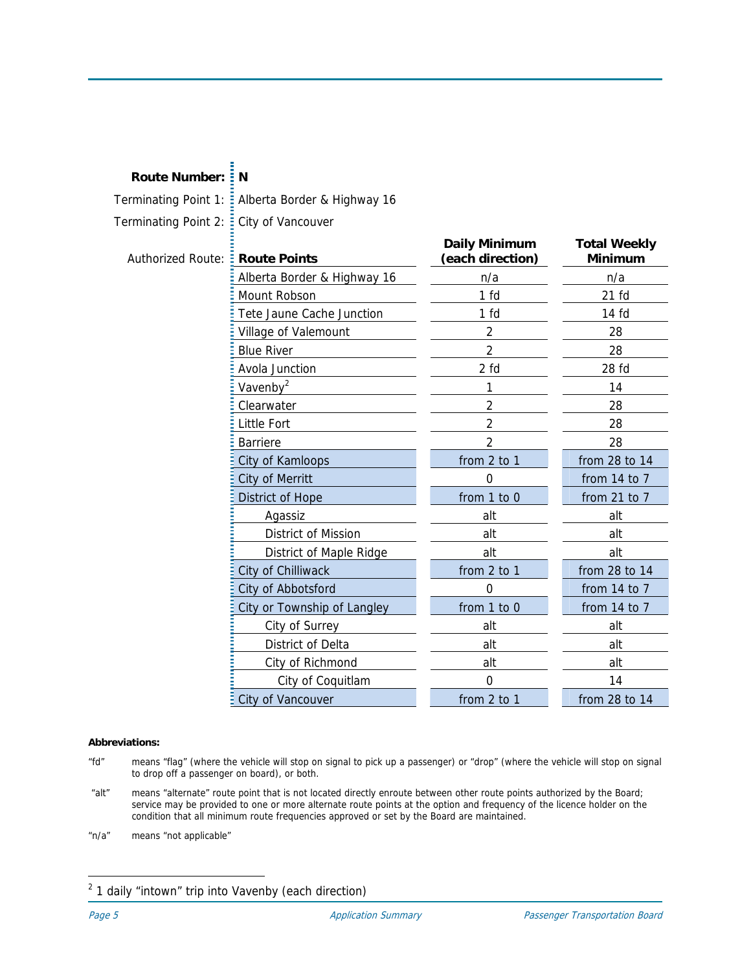# **Route Number: N**

Terminating Point 1: Alberta Border & Highway 16 Terminating Point 2:  $\frac{1}{2}$  City of Vancouver

### **Authorized Route:**

| <b>Route Points</b>         | <b>Daily Minimum</b><br>(each direction) | <b>Total Weekly</b><br><b>Minimum</b> |
|-----------------------------|------------------------------------------|---------------------------------------|
| Alberta Border & Highway 16 | n/a                                      | n/a                                   |
| Mount Robson                | 1 <sub>fd</sub>                          | $21$ fd                               |
| Tete Jaune Cache Junction   | 1 fd                                     | $14f$ d                               |
| Village of Valemount        | 2                                        | 28                                    |
| <b>Blue River</b>           | 2                                        | 28                                    |
| Avola Junction              | 2 f d                                    | 28 <sub>fd</sub>                      |
| Vavenby <sup>2</sup>        | 1                                        | 14                                    |
| Clearwater                  | $\overline{2}$                           | 28                                    |
| Little Fort                 | $\mathfrak{p}$                           | 28                                    |
| <b>Barriere</b>             | 2                                        | 28                                    |
| City of Kamloops            | from 2 to 1                              | from 28 to 14                         |
| <b>City of Merritt</b>      | 0                                        | from 14 to 7                          |
| District of Hope            | from 1 to 0                              | from $21$ to $7$                      |
| Agassiz                     | alt                                      | alt                                   |
| District of Mission         | alt                                      | alt                                   |
| District of Maple Ridge     | alt                                      | alt                                   |
| City of Chilliwack          | from 2 to 1                              | from 28 to 14                         |
| City of Abbotsford          | 0                                        | from 14 to 7                          |
| City or Township of Langley | from 1 to 0                              | from $14$ to $7$                      |
| City of Surrey              | alt                                      | alt                                   |
| District of Delta           | alt                                      | alt                                   |
| City of Richmond            | alt                                      | alt                                   |
| City of Coquitlam           | 0                                        | 14                                    |
| City of Vancouver           | from 2 to 1                              | from 28 to 14                         |

#### **Abbreviations:**

- "fd" means "flag" (where the vehicle will stop on signal to pick up a passenger) or "drop" (where the vehicle will stop on signal to drop off a passenger on board), or both.
- "alt" means "alternate" route point that is not located directly enroute between other route points authorized by the Board; service may be provided to one or more alternate route points at the option and frequency of the licence holder on the condition that all minimum route frequencies approved or set by the Board are maintained.
- "n/a" means "not applicable"

j

<span id="page-4-0"></span> $2$  1 daily "intown" trip into Vavenby (each direction)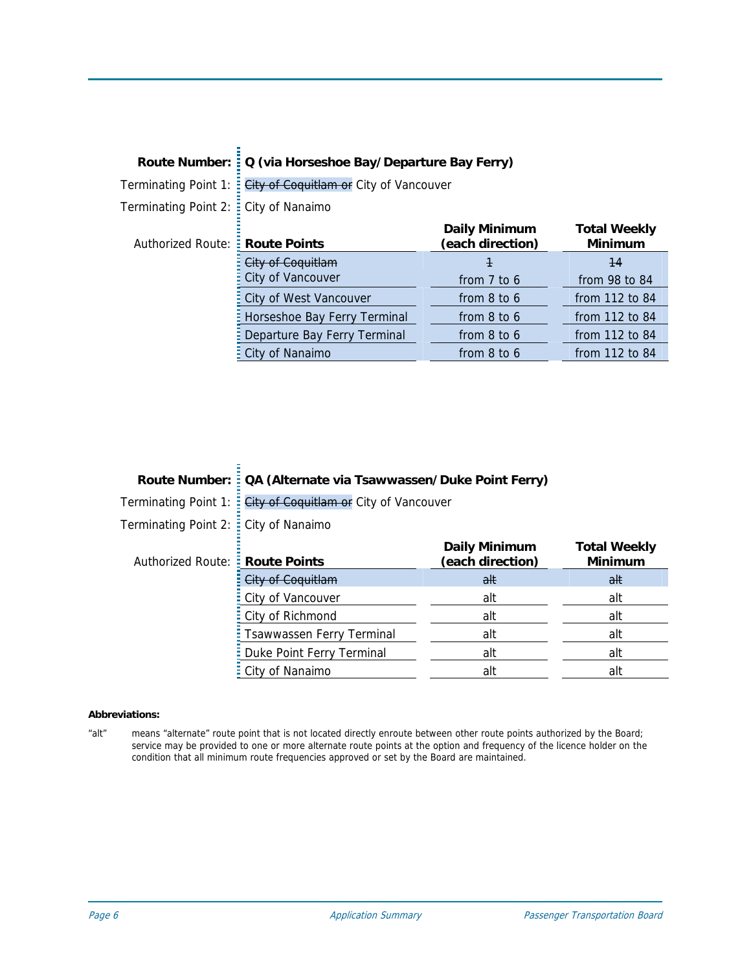|                                        | Route Number: : Q (via Horseshoe Bay/Departure Bay Ferry) |                                          |                                       |  |  |
|----------------------------------------|-----------------------------------------------------------|------------------------------------------|---------------------------------------|--|--|
| Terminating Point 1:                   | : City of Coquitlam or City of Vancouver                  |                                          |                                       |  |  |
| Terminating Point 2: : City of Nanaimo |                                                           |                                          |                                       |  |  |
| Authorized Route: : Route Points       |                                                           | <b>Daily Minimum</b><br>(each direction) | <b>Total Weekly</b><br><b>Minimum</b> |  |  |
|                                        | City of Coquitlam                                         | 1                                        | 44                                    |  |  |
|                                        | <b>City of Vancouver</b>                                  | from $7$ to $6$                          | from 98 to 84                         |  |  |
|                                        | City of West Vancouver                                    | from 8 to 6                              | from 112 to 84                        |  |  |
|                                        | E Horseshoe Bay Ferry Terminal                            | from 8 to 6                              | from 112 to 84                        |  |  |
|                                        | <b>E</b> Departure Bay Ferry Terminal                     | from 8 to 6                              | from 112 to 84                        |  |  |
|                                        | City of Nanaimo                                           | from 8 to 6                              | from 112 to 84                        |  |  |

# **Route Number: QA (Alternate via Tsawwassen/Duke Point Ferry)**

Terminating Point 1: City of Coquitlam or City of Vancouver

Terminating Point 2: City of Nanaimo

| Authorized Route: <b>Route Points</b> |                             | <b>Daily Minimum</b><br>(each direction) | <b>Total Weekly</b><br><b>Minimum</b> |
|---------------------------------------|-----------------------------|------------------------------------------|---------------------------------------|
|                                       | City of Coquitlam           | alt                                      | alt                                   |
|                                       | : City of Vancouver         | alt                                      | alt                                   |
|                                       | : City of Richmond          | alt                                      | alt                                   |
|                                       | : Tsawwassen Ferry Terminal | alt                                      | alt                                   |
|                                       | : Duke Point Ferry Terminal | alt                                      | alt                                   |
|                                       | : City of Nanaimo           | alt                                      | alt                                   |

#### **Abbreviations:**

"alt" means "alternate" route point that is not located directly enroute between other route points authorized by the Board; service may be provided to one or more alternate route points at the option and frequency of the licence holder on the condition that all minimum route frequencies approved or set by the Board are maintained.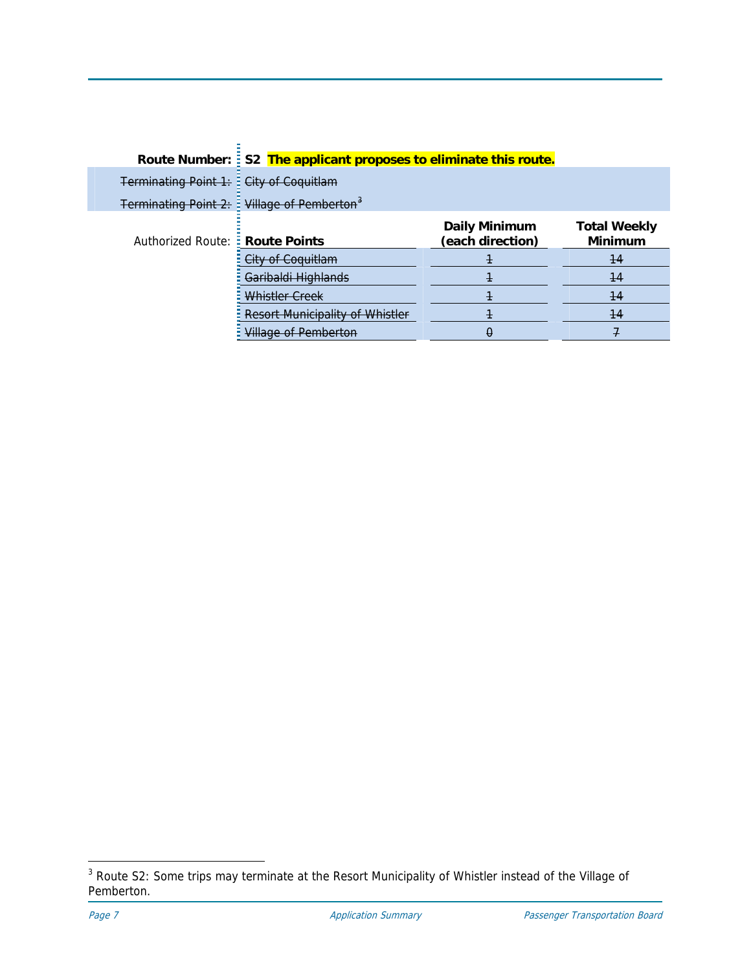|                                          | Route Number: : S2 The applicant proposes to eliminate this route. |                                          |                                |  |
|------------------------------------------|--------------------------------------------------------------------|------------------------------------------|--------------------------------|--|
| Terminating Point 1: : City of Coquitlam |                                                                    |                                          |                                |  |
|                                          | Terminating Point 2: Willage of Pemberton <sup>3</sup>             |                                          |                                |  |
| Authorized Route: : Route Points         |                                                                    | <b>Daily Minimum</b><br>(each direction) | <b>Total Weekly</b><br>Minimum |  |
|                                          | <del>City of Coquitlam</del>                                       |                                          | 44                             |  |
|                                          | <del>Garibaldi Highlands</del>                                     | ۰                                        | 14                             |  |
|                                          | Whistler Creek                                                     | Ŧ                                        | 44                             |  |
|                                          | Resort Municipality of Whistler                                    |                                          | -14                            |  |
|                                          | <del>Village of Pemberton</del>                                    | θ                                        |                                |  |

<span id="page-6-0"></span><sup>&</sup>lt;u>3</u><br><sup>3</sup> Route S2: Some trips may terminate at the Resort Municipality of Whistler instead of the Village of Pemberton.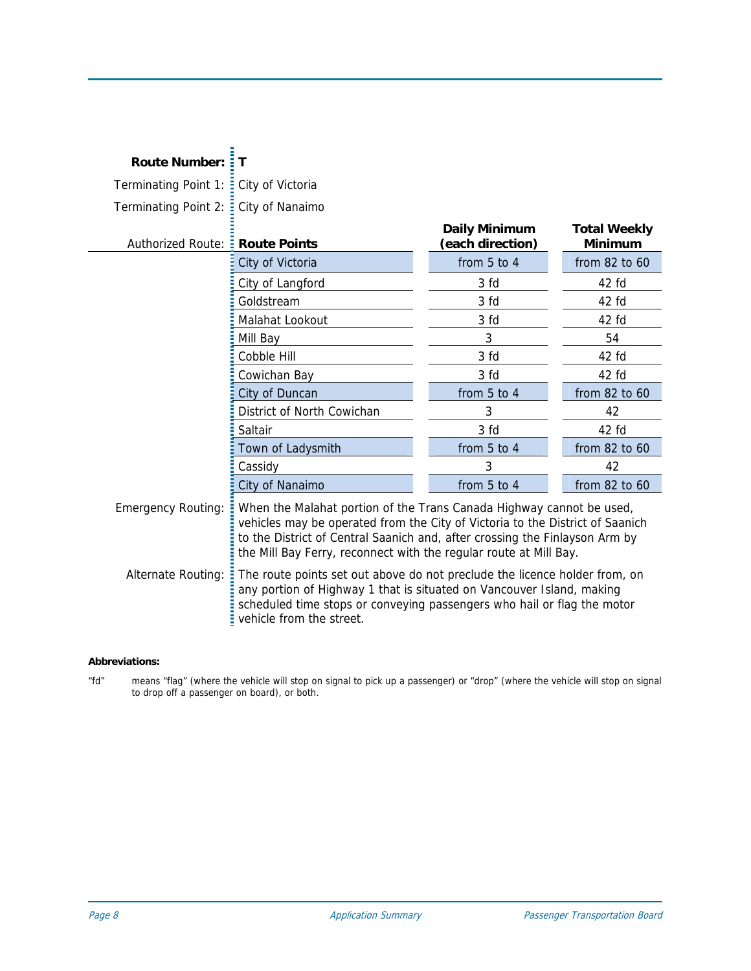| <b>Route Number:</b>             | Т                                                                                                                                                                                                                                                                                                         |                                          |                                       |  |
|----------------------------------|-----------------------------------------------------------------------------------------------------------------------------------------------------------------------------------------------------------------------------------------------------------------------------------------------------------|------------------------------------------|---------------------------------------|--|
| Terminating Point 1:             | City of Victoria                                                                                                                                                                                                                                                                                          |                                          |                                       |  |
| Terminating Point 2:             | City of Nanaimo                                                                                                                                                                                                                                                                                           |                                          |                                       |  |
| Authorized Route: : Route Points |                                                                                                                                                                                                                                                                                                           | <b>Daily Minimum</b><br>(each direction) | <b>Total Weekly</b><br><b>Minimum</b> |  |
|                                  | City of Victoria                                                                                                                                                                                                                                                                                          | from 5 to 4                              | from 82 to 60                         |  |
|                                  | City of Langford                                                                                                                                                                                                                                                                                          | 3 fd                                     | 42 fd                                 |  |
|                                  | Goldstream                                                                                                                                                                                                                                                                                                | 3 fd                                     | 42 fd                                 |  |
|                                  | Malahat Lookout                                                                                                                                                                                                                                                                                           | 3 fd                                     | 42 fd                                 |  |
|                                  | Mill Bay                                                                                                                                                                                                                                                                                                  | 3                                        | 54                                    |  |
|                                  | Cobble Hill                                                                                                                                                                                                                                                                                               | 3 fd                                     | 42 fd                                 |  |
|                                  | Cowichan Bay                                                                                                                                                                                                                                                                                              | 3 fd                                     | 42 fd                                 |  |
|                                  | City of Duncan                                                                                                                                                                                                                                                                                            | from 5 to 4                              | from 82 to 60                         |  |
|                                  | District of North Cowichan                                                                                                                                                                                                                                                                                | 3                                        | 42                                    |  |
|                                  | Saltair                                                                                                                                                                                                                                                                                                   | 3 fd                                     | 42 fd                                 |  |
|                                  | Town of Ladysmith                                                                                                                                                                                                                                                                                         | from 5 to 4                              | from 82 to 60                         |  |
|                                  | Cassidy                                                                                                                                                                                                                                                                                                   | 3                                        | 42                                    |  |
|                                  | City of Nanaimo                                                                                                                                                                                                                                                                                           | from 5 to 4                              | from 82 to 60                         |  |
| <b>Emergency Routing:</b>        | When the Malahat portion of the Trans Canada Highway cannot be used,<br>vehicles may be operated from the City of Victoria to the District of Saanich<br>to the District of Central Saanich and, after crossing the Finlayson Arm by<br>the Mill Bay Ferry, reconnect with the regular route at Mill Bay. |                                          |                                       |  |
| Alternate Routing:               | The route points set out above do not preclude the licence holder from, on<br>any portion of Highway 1 that is situated on Vancouver Island, making<br>scheduled time stops or conveying passengers who hail or flag the motor<br>vehicle from the street.                                                |                                          |                                       |  |

### **Abbreviations:**

"fd" means "flag" (where the vehicle will stop on signal to pick up a passenger) or "drop" (where the vehicle will stop on signal to drop off a passenger on board), or both.